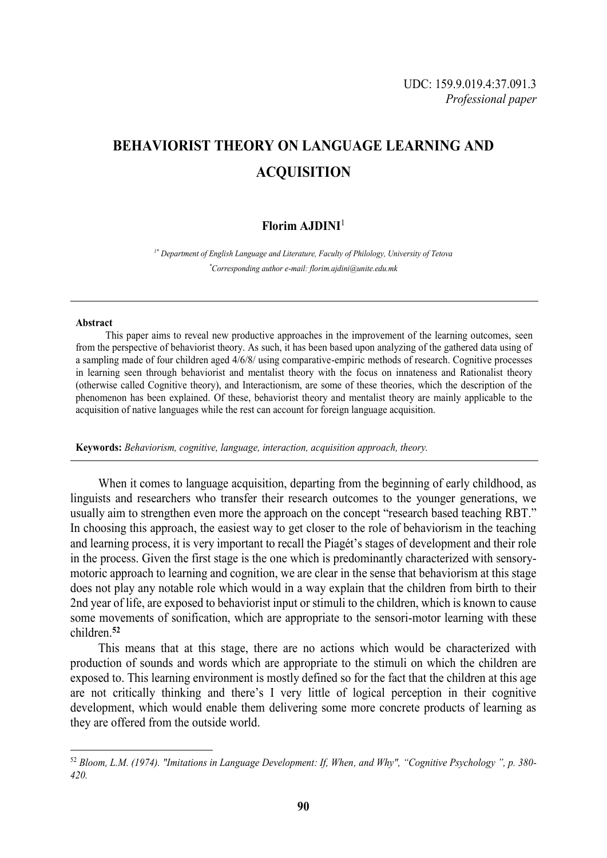# **BEHAVIORIST THEORY ON LANGUAGE LEARNING AND ACQUISITION**

# **Florim AJDINI**<sup>1</sup>

*1\* Department of English Language and Literature, Faculty of Philology, University of Tetova \*Corresponding author e-mail: florim.ajdini@unite.edu.mk*

#### **Abstract**

-

This paper aims to reveal new productive approaches in the improvement of the learning outcomes, seen from the perspective of behaviorist theory. As such, it has been based upon analyzing of the gathered data using of a sampling made of four children aged 4/6/8/ using comparative-empiric methods of research. Cognitive processes in learning seen through behaviorist and mentalist theory with the focus on innateness and Rationalist theory (otherwise called Cognitive theory), and Interactionism, are some of these theories, which the description of the phenomenon has been explained. Of these, behaviorist theory and mentalist theory are mainly applicable to the acquisition of native languages while the rest can account for foreign language acquisition.

**Keywords:** *Behaviorism, cognitive, language, interaction, acquisition approach, theory.*

When it comes to language acquisition, departing from the beginning of early childhood, as linguists and researchers who transfer their research outcomes to the younger generations, we usually aim to strengthen even more the approach on the concept "research based teaching RBT." In choosing this approach, the easiest way to get closer to the role of behaviorism in the teaching and learning process, it is very important to recall the Piagét's stages of development and their role in the process. Given the first stage is the one which is predominantly characterized with sensorymotoric approach to learning and cognition, we are clear in the sense that behaviorism at this stage does not play any notable role which would in a way explain that the children from birth to their 2nd year of life, are exposed to behaviorist input or stimuli to the children, which is known to cause some movements of sonification, which are appropriate to the sensori-motor learning with these children.**<sup>52</sup>**

This means that at this stage, there are no actions which would be characterized with production of sounds and words which are appropriate to the stimuli on which the children are exposed to. This learning environment is mostly defined so for the fact that the children at this age are not critically thinking and there's I very little of logical perception in their cognitive development, which would enable them delivering some more concrete products of learning as they are offered from the outside world.

<sup>52</sup> *Bloom, L.M. (1974). "Imitations in Language Development: If, When, and Why", "Cognitive Psychology ", p. 380- 420.*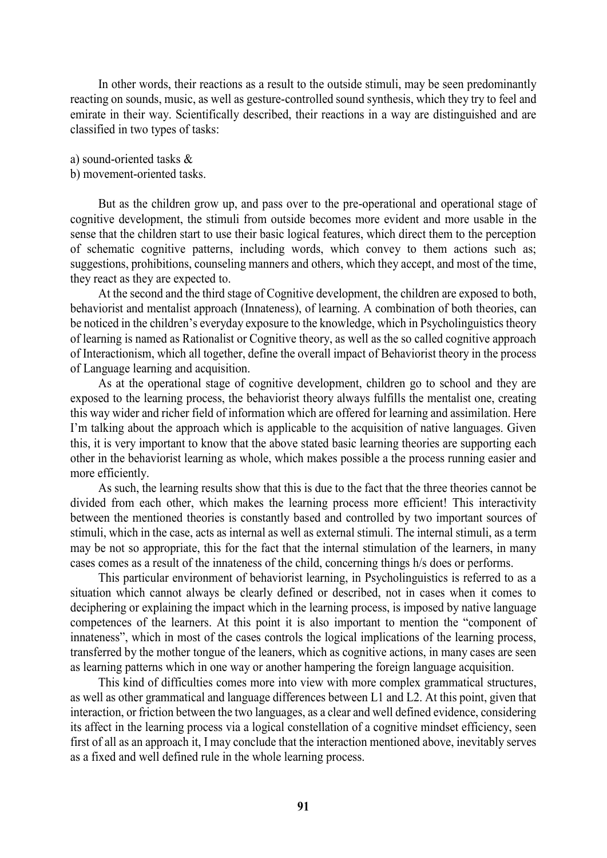In other words, their reactions as a result to the outside stimuli, may be seen predominantly reacting on sounds, music, as well as gesture-controlled sound synthesis, which they try to feel and emirate in their way. Scientifically described, their reactions in a way are distinguished and are classified in two types of tasks:

a) sound-oriented tasks &

#### b) movement-oriented tasks.

But as the children grow up, and pass over to the pre-operational and operational stage of cognitive development, the stimuli from outside becomes more evident and more usable in the sense that the children start to use their basic logical features, which direct them to the perception of schematic cognitive patterns, including words, which convey to them actions such as; suggestions, prohibitions, counseling manners and others, which they accept, and most of the time, they react as they are expected to.

At the second and the third stage of Cognitive development, the children are exposed to both, behaviorist and mentalist approach (Innateness), of learning. A combination of both theories, can be noticed in the children's everyday exposure to the knowledge, which in Psycholinguistics theory of learning is named as Rationalist or Cognitive theory, as well as the so called cognitive approach of Interactionism, which all together, define the overall impact of Behaviorist theory in the process of Language learning and acquisition.

As at the operational stage of cognitive development, children go to school and they are exposed to the learning process, the behaviorist theory always fulfills the mentalist one, creating this way wider and richer field of information which are offered for learning and assimilation. Here I'm talking about the approach which is applicable to the acquisition of native languages. Given this, it is very important to know that the above stated basic learning theories are supporting each other in the behaviorist learning as whole, which makes possible a the process running easier and more efficiently.

As such, the learning results show that this is due to the fact that the three theories cannot be divided from each other, which makes the learning process more efficient! This interactivity between the mentioned theories is constantly based and controlled by two important sources of stimuli, which in the case, acts as internal as well as external stimuli. The internal stimuli, as a term may be not so appropriate, this for the fact that the internal stimulation of the learners, in many cases comes as a result of the innateness of the child, concerning things h/s does or performs.

This particular environment of behaviorist learning, in Psycholinguistics is referred to as a situation which cannot always be clearly defined or described, not in cases when it comes to deciphering or explaining the impact which in the learning process, is imposed by native language competences of the learners. At this point it is also important to mention the "component of innateness", which in most of the cases controls the logical implications of the learning process, transferred by the mother tongue of the leaners, which as cognitive actions, in many cases are seen as learning patterns which in one way or another hampering the foreign language acquisition.

This kind of difficulties comes more into view with more complex grammatical structures, as well as other grammatical and language differences between L1 and L2. At this point, given that interaction, or friction between the two languages, as a clear and well defined evidence, considering its affect in the learning process via a logical constellation of a cognitive mindset efficiency, seen first of all as an approach it, I may conclude that the interaction mentioned above, inevitably serves as a fixed and well defined rule in the whole learning process.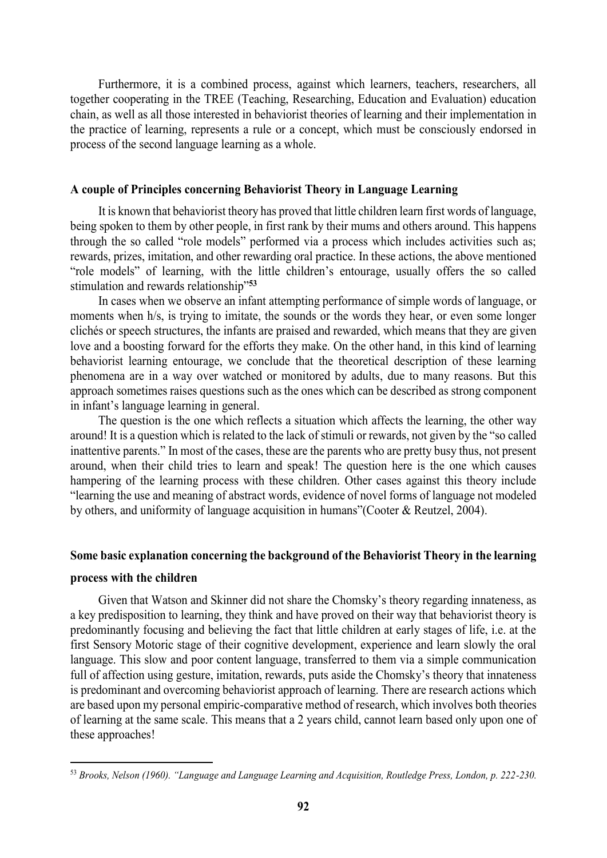Furthermore, it is a combined process, against which learners, teachers, researchers, all together cooperating in the TREE (Teaching, Researching, Education and Evaluation) education chain, as well as all those interested in behaviorist theories of learning and their implementation in the practice of learning, represents a rule or a concept, which must be consciously endorsed in process of the second language learning as a whole.

#### **A couple of Principles concerning Behaviorist Theory in Language Learning**

It is known that behaviorist theory has proved that little children learn first words of language, being spoken to them by other people, in first rank by their mums and others around. This happens through the so called "role models" performed via a process which includes activities such as; rewards, prizes, imitation, and other rewarding oral practice. In these actions, the above mentioned "role models" of learning, with the little children's entourage, usually offers the so called stimulation and rewards relationship"**<sup>53</sup>**

In cases when we observe an infant attempting performance of simple words of language, or moments when h/s, is trying to imitate, the sounds or the words they hear, or even some longer clichés or speech structures, the infants are praised and rewarded, which means that they are given love and a boosting forward for the efforts they make. On the other hand, in this kind of learning behaviorist learning entourage, we conclude that the theoretical description of these learning phenomena are in a way over watched or monitored by adults, due to many reasons. But this approach sometimes raises questions such as the ones which can be described as strong component in infant's language learning in general.

The question is the one which reflects a situation which affects the learning, the other way around! It is a question which is related to the lack of stimuli or rewards, not given by the "so called inattentive parents." In most of the cases, these are the parents who are pretty busy thus, not present around, when their child tries to learn and speak! The question here is the one which causes hampering of the learning process with these children. Other cases against this theory include "learning the use and meaning of abstract words, evidence of novel forms of language not modeled by others, and uniformity of language acquisition in humans"(Cooter & Reutzel, 2004).

### **Some basic explanation concerning the background of the Behaviorist Theory in the learning**

#### **process with the children**

-

Given that Watson and Skinner did not share the Chomsky's theory regarding innateness, as a key predisposition to learning, they think and have proved on their way that behaviorist theory is predominantly focusing and believing the fact that little children at early stages of life, i.e. at the first Sensory Motoric stage of their cognitive development, experience and learn slowly the oral language. This slow and poor content language, transferred to them via a simple communication full of affection using gesture, imitation, rewards, puts aside the Chomsky's theory that innateness is predominant and overcoming behaviorist approach of learning. There are research actions which are based upon my personal empiric-comparative method of research, which involves both theories of learning at the same scale. This means that a 2 years child, cannot learn based only upon one of these approaches!

<sup>53</sup> *Brooks, Nelson (1960). "Language and Language Learning and Acquisition, Routledge Press, London, p. 222-230.*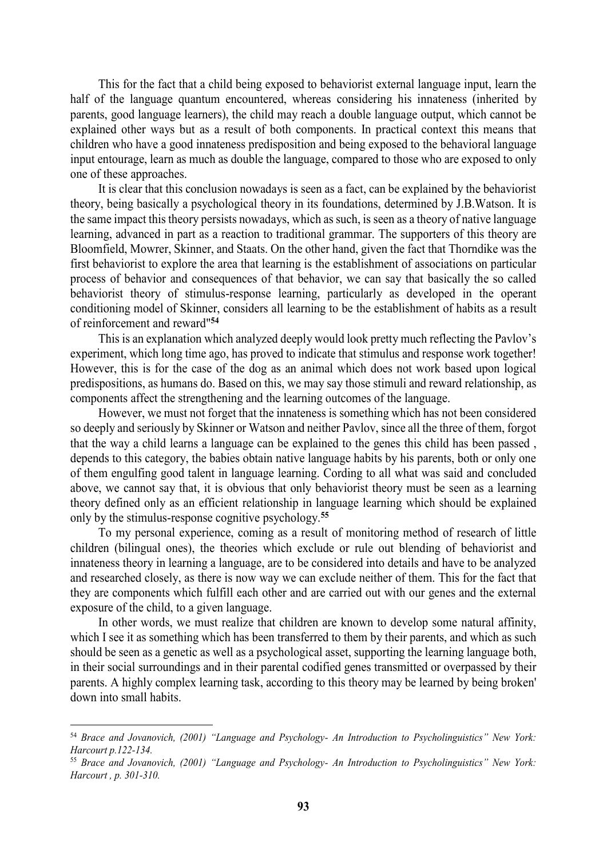This for the fact that a child being exposed to behaviorist external language input, learn the half of the language quantum encountered, whereas considering his innateness (inherited by parents, good language learners), the child may reach a double language output, which cannot be explained other ways but as a result of both components. In practical context this means that children who have a good innateness predisposition and being exposed to the behavioral language input entourage, learn as much as double the language, compared to those who are exposed to only one of these approaches.

It is clear that this conclusion nowadays is seen as a fact, can be explained by the behaviorist theory, being basically a psychological theory in its foundations, determined by J.B.Watson. It is the same impact this theory persists nowadays, which as such, is seen as a theory of native language learning, advanced in part as a reaction to traditional grammar. The supporters of this theory are Bloomfield, Mowrer, Skinner, and Staats. On the other hand, given the fact that Thorndike was the first behaviorist to explore the area that learning is the establishment of associations on particular process of behavior and consequences of that behavior, we can say that basically the so called behaviorist theory of stimulus-response learning, particularly as developed in the operant conditioning model of Skinner, considers all learning to be the establishment of habits as a result of reinforcement and reward"**<sup>54</sup>**

This is an explanation which analyzed deeply would look pretty much reflecting the Pavlov's experiment, which long time ago, has proved to indicate that stimulus and response work together! However, this is for the case of the dog as an animal which does not work based upon logical predispositions, as humans do. Based on this, we may say those stimuli and reward relationship, as components affect the strengthening and the learning outcomes of the language.

However, we must not forget that the innateness is something which has not been considered so deeply and seriously by Skinner or Watson and neither Pavlov, since all the three of them, forgot that the way a child learns a language can be explained to the genes this child has been passed , depends to this category, the babies obtain native language habits by his parents, both or only one of them engulfing good talent in language learning. Cording to all what was said and concluded above, we cannot say that, it is obvious that only behaviorist theory must be seen as a learning theory defined only as an efficient relationship in language learning which should be explained only by the stimulus-response cognitive psychology.**<sup>55</sup>**

To my personal experience, coming as a result of monitoring method of research of little children (bilingual ones), the theories which exclude or rule out blending of behaviorist and innateness theory in learning a language, are to be considered into details and have to be analyzed and researched closely, as there is now way we can exclude neither of them. This for the fact that they are components which fulfill each other and are carried out with our genes and the external exposure of the child, to a given language.

In other words, we must realize that children are known to develop some natural affinity, which I see it as something which has been transferred to them by their parents, and which as such should be seen as a genetic as well as a psychological asset, supporting the learning language both, in their social surroundings and in their parental codified genes transmitted or overpassed by their parents. A highly complex learning task, according to this theory may be learned by being broken' down into small habits.

-

<sup>54</sup> *Brace and Jovanovich, (2001) "Language and Psychology- An Introduction to Psycholinguistics" New York: Harcourt p.122-134.* 

<sup>55</sup> *Brace and Jovanovich, (2001) "Language and Psychology- An Introduction to Psycholinguistics" New York: Harcourt , p. 301-310.*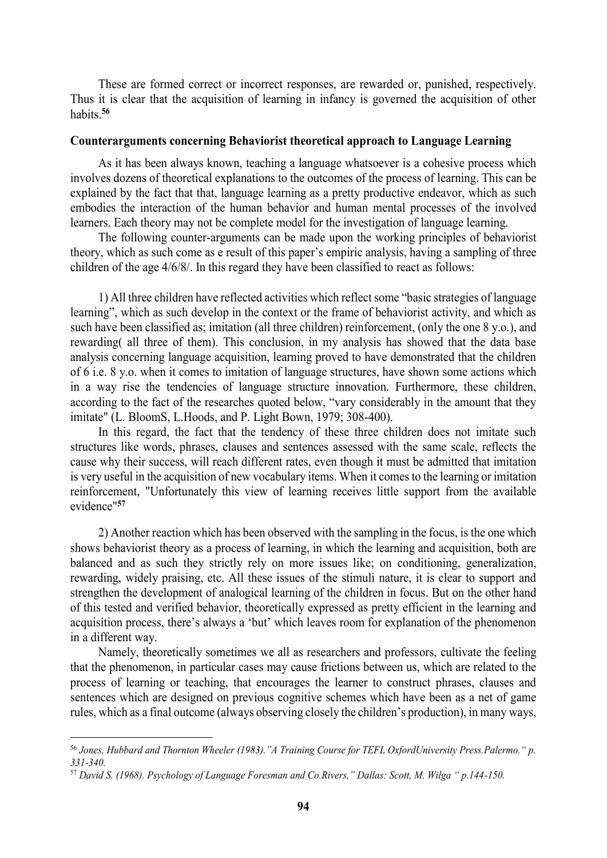These are formed correct or incorrect responses, are rewarded or, punished, respectively. Thus it is clear that the acquisition of learning in infancy is governed the acquisition of other habits.**<sup>56</sup>**

#### **Counterarguments concerning Behaviorist theoretical approach to Language Learning**

As it has been always known, teaching a language whatsoever is a cohesive process which involves dozens of theoretical explanations to the outcomes of the process of learning. This can be explained by the fact that that, language learning as a pretty productive endeavor, which as such embodies the interaction of the human behavior and human mental processes of the involved learners. Each theory may not be complete model for the investigation of language learning.

The following counter-arguments can be made upon the working principles of behaviorist theory, which as such come as e result of this paper's empiric analysis, having a sampling of three children of the age 4/6/8/. In this regard they have been classified to react as follows:

1) All three children have reflected activities which reflect some "basic strategies of language learning", which as such develop in the context or the frame of behaviorist activity, and which as such have been classified as; imitation (all three children) reinforcement, (only the one 8 y.o.), and rewarding( all three of them). This conclusion, in my analysis has showed that the data base analysis concerning language acquisition, learning proved to have demonstrated that the children of 6 i.e. 8 y.o. when it comes to imitation of language structures, have shown some actions which in a way rise the tendencies of language structure innovation. Furthermore, these children, according to the fact of the researches quoted below, "vary considerably in the amount that they imitate" (L. BloomS, L.Hoods, and P. Light Bown, 1979; 308-400).

In this regard, the fact that the tendency of these three children does not imitate such structures like words, phrases, clauses and sentences assessed with the same scale, reflects the cause why their success, will reach different rates, even though it must be admitted that imitation is very useful in the acquisition of new vocabulary items. When it comes to the learning or imitation reinforcement, "Unfortunately this view of learning receives little support from the available evidence"**<sup>57</sup>**

2) Another reaction which has been observed with the sampling in the focus, is the one which shows behaviorist theory as a process of learning, in which the learning and acquisition, both are balanced and as such they strictly rely on more issues like; on conditioning, generalization, rewarding, widely praising, etc. All these issues of the stimuli nature, it is clear to support and strengthen the development of analogical learning of the children in focus. But on the other hand of this tested and verified behavior, theoretically expressed as pretty efficient in the learning and acquisition process, there's always a 'but' which leaves room for explanation of the phenomenon in a different way.

Namely, theoretically sometimes we all as researchers and professors, cultivate the feeling that the phenomenon, in particular cases may cause frictions between us, which are related to the process of learning or teaching, that encourages the learner to construct phrases, clauses and sentences which are designed on previous cognitive schemes which have been as a net of game rules, which as a final outcome (always observing closely the children's production), in many ways,

-

<sup>56</sup> *Jones, Hubbard and Thornton Wheeler (1983)."A Training Course for TEFL OxfordUniversity Press.Palermo." p. 331-340.* 

<sup>57</sup> *David S. (1968). Psychology of Language Foresman and Co.Rivers," Dallas: Scott, M. Wilga " p.144-150.*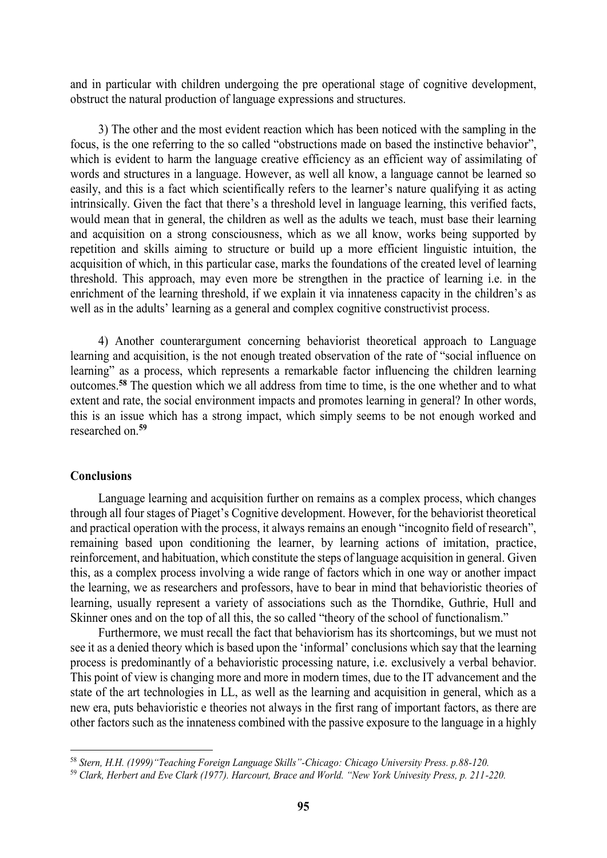and in particular with children undergoing the pre operational stage of cognitive development, obstruct the natural production of language expressions and structures.

3) The other and the most evident reaction which has been noticed with the sampling in the focus, is the one referring to the so called "obstructions made on based the instinctive behavior", which is evident to harm the language creative efficiency as an efficient way of assimilating of words and structures in a language. However, as well all know, a language cannot be learned so easily, and this is a fact which scientifically refers to the learner's nature qualifying it as acting intrinsically. Given the fact that there's a threshold level in language learning, this verified facts, would mean that in general, the children as well as the adults we teach, must base their learning and acquisition on a strong consciousness, which as we all know, works being supported by repetition and skills aiming to structure or build up a more efficient linguistic intuition, the acquisition of which, in this particular case, marks the foundations of the created level of learning threshold. This approach, may even more be strengthen in the practice of learning i.e. in the enrichment of the learning threshold, if we explain it via innateness capacity in the children's as well as in the adults' learning as a general and complex cognitive constructivist process.

4) Another counterargument concerning behaviorist theoretical approach to Language learning and acquisition, is the not enough treated observation of the rate of "social influence on learning" as a process, which represents a remarkable factor influencing the children learning outcomes.**<sup>58</sup>** The question which we all address from time to time, is the one whether and to what extent and rate, the social environment impacts and promotes learning in general? In other words, this is an issue which has a strong impact, which simply seems to be not enough worked and researched on.**<sup>59</sup>**

#### **Conclusions**

-

Language learning and acquisition further on remains as a complex process, which changes through all four stages of Piaget's Cognitive development. However, for the behaviorist theoretical and practical operation with the process, it always remains an enough "incognito field of research", remaining based upon conditioning the learner, by learning actions of imitation, practice, reinforcement, and habituation, which constitute the steps of language acquisition in general. Given this, as a complex process involving a wide range of factors which in one way or another impact the learning, we as researchers and professors, have to bear in mind that behavioristic theories of learning, usually represent a variety of associations such as the Thorndike, Guthrie, Hull and Skinner ones and on the top of all this, the so called "theory of the school of functionalism."

Furthermore, we must recall the fact that behaviorism has its shortcomings, but we must not see it as a denied theory which is based upon the 'informal' conclusions which say that the learning process is predominantly of a behavioristic processing nature, i.e. exclusively a verbal behavior. This point of view is changing more and more in modern times, due to the IT advancement and the state of the art technologies in LL, as well as the learning and acquisition in general, which as a new era, puts behavioristic e theories not always in the first rang of important factors, as there are other factors such as the innateness combined with the passive exposure to the language in a highly

<sup>58</sup> *Stern, H.H. (1999)"Teaching Foreign Language Skills"-Chicago: Chicago University Press. p.88-120.* 

<sup>59</sup> *Clark, Herbert and Eve Clark (1977). Harcourt, Brace and World. "New York Univesity Press, p. 211-220.*